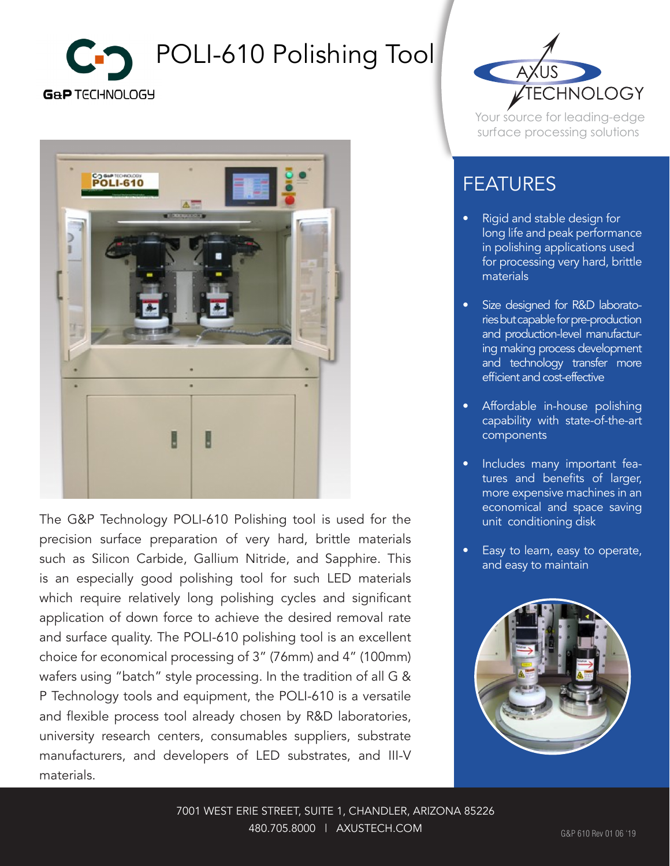



The G&P Technology POLI-610 Polishing tool is used for the precision surface preparation of very hard, brittle materials such as Silicon Carbide, Gallium Nitride, and Sapphire. This is an especially good polishing tool for such LED materials which require relatively long polishing cycles and significant application of down force to achieve the desired removal rate and surface quality. The POLI-610 polishing tool is an excellent choice for economical processing of 3" (76mm) and 4" (100mm) wafers using "batch" style processing. In the tradition of all G & P Technology tools and equipment, the POLI-610 is a versatile and flexible process tool already chosen by R&D laboratories, university research centers, consumables suppliers, substrate manufacturers, and developers of LED substrates, and III-V materials.



Your source for leading-edge surface processing solutions

## FEATURES

- Rigid and stable design for long life and peak performance in polishing applications used for processing very hard, brittle materials
- Size designed for R&D laboratories but capable for pre-production and production-level manufacturing making process development and technology transfer more efficient and cost-effective
- Affordable in-house polishing capability with state-of-the-art components
- Includes many important features and benefits of larger, more expensive machines in an economical and space saving unit conditioning disk
- Easy to learn, easy to operate, and easy to maintain